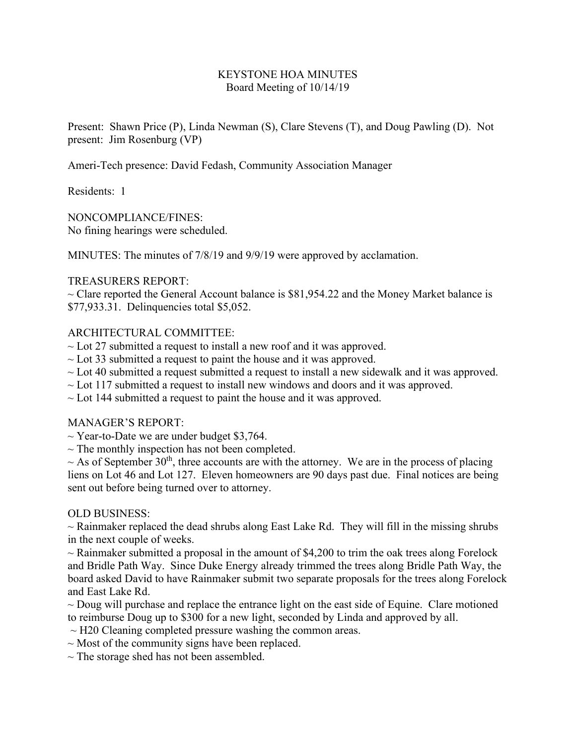## KEYSTONE HOA MINUTES Board Meeting of 10/14/19

Present: Shawn Price (P), Linda Newman (S), Clare Stevens (T), and Doug Pawling (D). Not present: Jim Rosenburg (VP)

Ameri-Tech presence: David Fedash, Community Association Manager

Residents: 1

NONCOMPLIANCE/FINES: No fining hearings were scheduled.

MINUTES: The minutes of 7/8/19 and 9/9/19 were approved by acclamation.

## TREASURERS REPORT:

 $\sim$  Clare reported the General Account balance is \$81,954.22 and the Money Market balance is \$77,933.31. Delinquencies total \$5,052.

# ARCHITECTURAL COMMITTEE:

- $\sim$  Lot 27 submitted a request to install a new roof and it was approved.
- $\sim$  Lot 33 submitted a request to paint the house and it was approved.
- $\sim$  Lot 40 submitted a request submitted a request to install a new sidewalk and it was approved.
- $\sim$  Lot 117 submitted a request to install new windows and doors and it was approved.
- $\sim$  Lot 144 submitted a request to paint the house and it was approved.

### MANAGER'S REPORT:

- $\sim$  Year-to-Date we are under budget \$3,764.
- $\sim$  The monthly inspection has not been completed.

 $\sim$  As of September 30<sup>th</sup>, three accounts are with the attorney. We are in the process of placing liens on Lot 46 and Lot 127. Eleven homeowners are 90 days past due. Final notices are being sent out before being turned over to attorney.

### OLD BUSINESS:

 $\sim$  Rainmaker replaced the dead shrubs along East Lake Rd. They will fill in the missing shrubs in the next couple of weeks.

 $\sim$  Rainmaker submitted a proposal in the amount of \$4,200 to trim the oak trees along Forelock and Bridle Path Way. Since Duke Energy already trimmed the trees along Bridle Path Way, the board asked David to have Rainmaker submit two separate proposals for the trees along Forelock and East Lake Rd.

 $\sim$  Doug will purchase and replace the entrance light on the east side of Equine. Clare motioned to reimburse Doug up to \$300 for a new light, seconded by Linda and approved by all.

- $\sim$  H20 Cleaning completed pressure washing the common areas.
- $\sim$  Most of the community signs have been replaced.
- $\sim$  The storage shed has not been assembled.